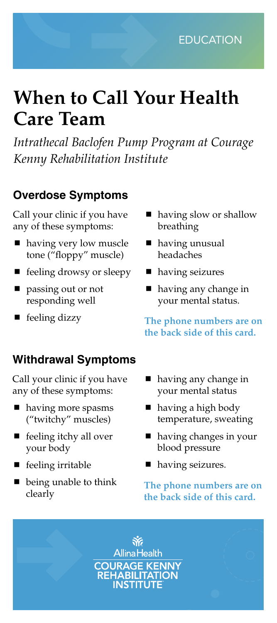# **When to Call Your Health Care Team**

*Intrathecal Baclofen Pump Program at Courage Kenny Rehabilitation Institute*

## **Overdose Symptoms**

Call your clinic if you have any of these symptoms:

- having very low muscle tone ("floppy" muscle)
- feeling drowsy or sleepy
- passing out or not responding well
- feeling dizzy

### **Withdrawal Symptoms**

Call your clinic if you have any of these symptoms:

- having more spasms ("twitchy" muscles)
- feeling itchy all over your body
- feeling irritable
- $\blacksquare$  being unable to think clearly
- having slow or shallow breathing
- having unusual headaches
- having seizures
- having any change in your mental status.

**The phone numbers are on the back side of this card.**

- having any change in your mental status
- having a high body temperature, sweating
- having changes in your blood pressure
- having seizures.

**The phone numbers are on the back side of this card.**

氷 **Allina Health COURAGE KENNY<br>REHABILITATION<br>INSTITUTE**